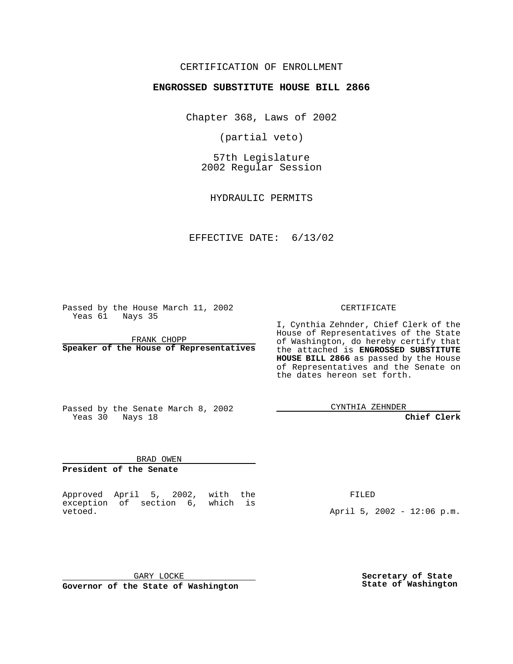### CERTIFICATION OF ENROLLMENT

# **ENGROSSED SUBSTITUTE HOUSE BILL 2866**

Chapter 368, Laws of 2002

(partial veto)

57th Legislature 2002 Regular Session

HYDRAULIC PERMITS

#### EFFECTIVE DATE: 6/13/02

Passed by the House March 11, 2002 Yeas 61 Nays 35

FRANK CHOPP **Speaker of the House of Representatives** CERTIFICATE

I, Cynthia Zehnder, Chief Clerk of the House of Representatives of the State of Washington, do hereby certify that the attached is **ENGROSSED SUBSTITUTE HOUSE BILL 2866** as passed by the House of Representatives and the Senate on the dates hereon set forth.

Passed by the Senate March 8, 2002 Yeas 30 Nays 18

CYNTHIA ZEHNDER

**Chief Clerk**

BRAD OWEN **President of the Senate**

Approved April 5, 2002, with the exception of section 6, which is vetoed.

FILED

April 5, 2002 - 12:06 p.m.

GARY LOCKE **Governor of the State of Washington** **Secretary of State State of Washington**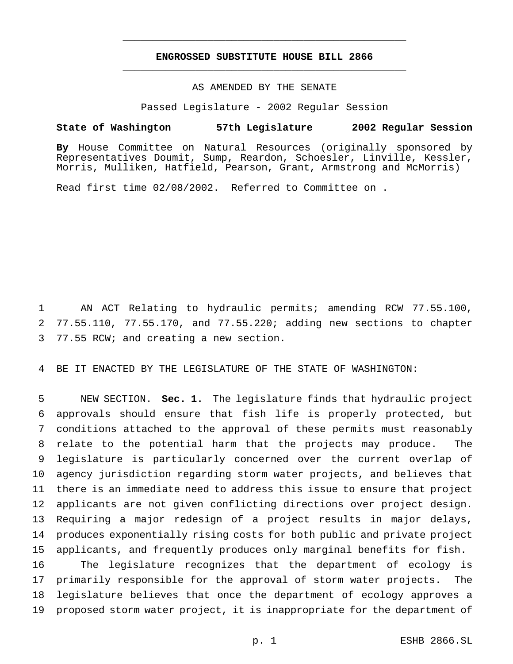## **ENGROSSED SUBSTITUTE HOUSE BILL 2866** \_\_\_\_\_\_\_\_\_\_\_\_\_\_\_\_\_\_\_\_\_\_\_\_\_\_\_\_\_\_\_\_\_\_\_\_\_\_\_\_\_\_\_\_\_\_\_

\_\_\_\_\_\_\_\_\_\_\_\_\_\_\_\_\_\_\_\_\_\_\_\_\_\_\_\_\_\_\_\_\_\_\_\_\_\_\_\_\_\_\_\_\_\_\_

### AS AMENDED BY THE SENATE

Passed Legislature - 2002 Regular Session

### **State of Washington 57th Legislature 2002 Regular Session**

**By** House Committee on Natural Resources (originally sponsored by Representatives Doumit, Sump, Reardon, Schoesler, Linville, Kessler, Morris, Mulliken, Hatfield, Pearson, Grant, Armstrong and McMorris)

Read first time 02/08/2002. Referred to Committee on .

 AN ACT Relating to hydraulic permits; amending RCW 77.55.100, 77.55.110, 77.55.170, and 77.55.220; adding new sections to chapter 77.55 RCW; and creating a new section.

BE IT ENACTED BY THE LEGISLATURE OF THE STATE OF WASHINGTON:

 NEW SECTION. **Sec. 1.** The legislature finds that hydraulic project approvals should ensure that fish life is properly protected, but conditions attached to the approval of these permits must reasonably relate to the potential harm that the projects may produce. The legislature is particularly concerned over the current overlap of agency jurisdiction regarding storm water projects, and believes that there is an immediate need to address this issue to ensure that project applicants are not given conflicting directions over project design. Requiring a major redesign of a project results in major delays, produces exponentially rising costs for both public and private project applicants, and frequently produces only marginal benefits for fish.

 The legislature recognizes that the department of ecology is primarily responsible for the approval of storm water projects. The legislature believes that once the department of ecology approves a proposed storm water project, it is inappropriate for the department of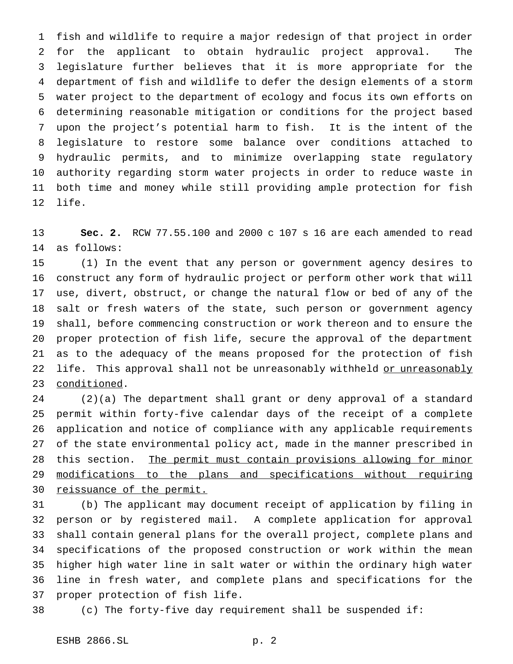fish and wildlife to require a major redesign of that project in order for the applicant to obtain hydraulic project approval. The legislature further believes that it is more appropriate for the department of fish and wildlife to defer the design elements of a storm water project to the department of ecology and focus its own efforts on determining reasonable mitigation or conditions for the project based upon the project's potential harm to fish. It is the intent of the legislature to restore some balance over conditions attached to hydraulic permits, and to minimize overlapping state regulatory authority regarding storm water projects in order to reduce waste in both time and money while still providing ample protection for fish life.

 **Sec. 2.** RCW 77.55.100 and 2000 c 107 s 16 are each amended to read as follows:

 (1) In the event that any person or government agency desires to construct any form of hydraulic project or perform other work that will use, divert, obstruct, or change the natural flow or bed of any of the salt or fresh waters of the state, such person or government agency shall, before commencing construction or work thereon and to ensure the proper protection of fish life, secure the approval of the department as to the adequacy of the means proposed for the protection of fish 22 life. This approval shall not be unreasonably withheld or unreasonably conditioned.

 (2)(a) The department shall grant or deny approval of a standard permit within forty-five calendar days of the receipt of a complete application and notice of compliance with any applicable requirements of the state environmental policy act, made in the manner prescribed in 28 this section. The permit must contain provisions allowing for minor modifications to the plans and specifications without requiring reissuance of the permit.

 (b) The applicant may document receipt of application by filing in person or by registered mail. A complete application for approval shall contain general plans for the overall project, complete plans and specifications of the proposed construction or work within the mean higher high water line in salt water or within the ordinary high water line in fresh water, and complete plans and specifications for the proper protection of fish life.

(c) The forty-five day requirement shall be suspended if: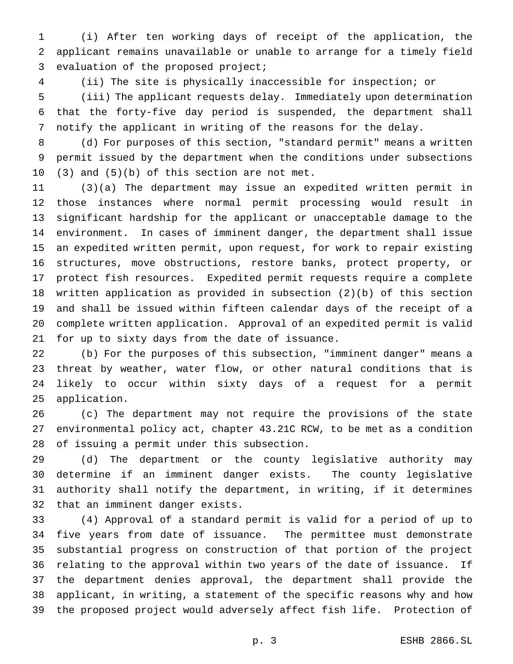(i) After ten working days of receipt of the application, the applicant remains unavailable or unable to arrange for a timely field evaluation of the proposed project;

(ii) The site is physically inaccessible for inspection; or

 (iii) The applicant requests delay. Immediately upon determination that the forty-five day period is suspended, the department shall notify the applicant in writing of the reasons for the delay.

 (d) For purposes of this section, "standard permit" means a written permit issued by the department when the conditions under subsections (3) and (5)(b) of this section are not met.

 (3)(a) The department may issue an expedited written permit in those instances where normal permit processing would result in significant hardship for the applicant or unacceptable damage to the environment. In cases of imminent danger, the department shall issue an expedited written permit, upon request, for work to repair existing structures, move obstructions, restore banks, protect property, or protect fish resources. Expedited permit requests require a complete written application as provided in subsection (2)(b) of this section and shall be issued within fifteen calendar days of the receipt of a complete written application. Approval of an expedited permit is valid for up to sixty days from the date of issuance.

 (b) For the purposes of this subsection, "imminent danger" means a threat by weather, water flow, or other natural conditions that is likely to occur within sixty days of a request for a permit application.

 (c) The department may not require the provisions of the state environmental policy act, chapter 43.21C RCW, to be met as a condition of issuing a permit under this subsection.

 (d) The department or the county legislative authority may determine if an imminent danger exists. The county legislative authority shall notify the department, in writing, if it determines that an imminent danger exists.

 (4) Approval of a standard permit is valid for a period of up to five years from date of issuance. The permittee must demonstrate substantial progress on construction of that portion of the project relating to the approval within two years of the date of issuance. If the department denies approval, the department shall provide the applicant, in writing, a statement of the specific reasons why and how the proposed project would adversely affect fish life. Protection of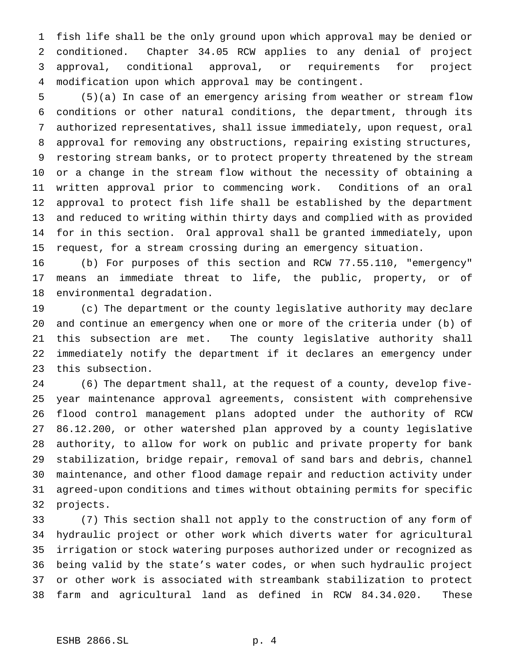fish life shall be the only ground upon which approval may be denied or conditioned. Chapter 34.05 RCW applies to any denial of project approval, conditional approval, or requirements for project modification upon which approval may be contingent.

 (5)(a) In case of an emergency arising from weather or stream flow conditions or other natural conditions, the department, through its authorized representatives, shall issue immediately, upon request, oral approval for removing any obstructions, repairing existing structures, restoring stream banks, or to protect property threatened by the stream or a change in the stream flow without the necessity of obtaining a written approval prior to commencing work. Conditions of an oral approval to protect fish life shall be established by the department and reduced to writing within thirty days and complied with as provided for in this section. Oral approval shall be granted immediately, upon request, for a stream crossing during an emergency situation.

 (b) For purposes of this section and RCW 77.55.110, "emergency" means an immediate threat to life, the public, property, or of environmental degradation.

 (c) The department or the county legislative authority may declare and continue an emergency when one or more of the criteria under (b) of this subsection are met. The county legislative authority shall immediately notify the department if it declares an emergency under this subsection.

 (6) The department shall, at the request of a county, develop five- year maintenance approval agreements, consistent with comprehensive flood control management plans adopted under the authority of RCW 86.12.200, or other watershed plan approved by a county legislative authority, to allow for work on public and private property for bank stabilization, bridge repair, removal of sand bars and debris, channel maintenance, and other flood damage repair and reduction activity under agreed-upon conditions and times without obtaining permits for specific projects.

 (7) This section shall not apply to the construction of any form of hydraulic project or other work which diverts water for agricultural irrigation or stock watering purposes authorized under or recognized as being valid by the state's water codes, or when such hydraulic project or other work is associated with streambank stabilization to protect farm and agricultural land as defined in RCW 84.34.020. These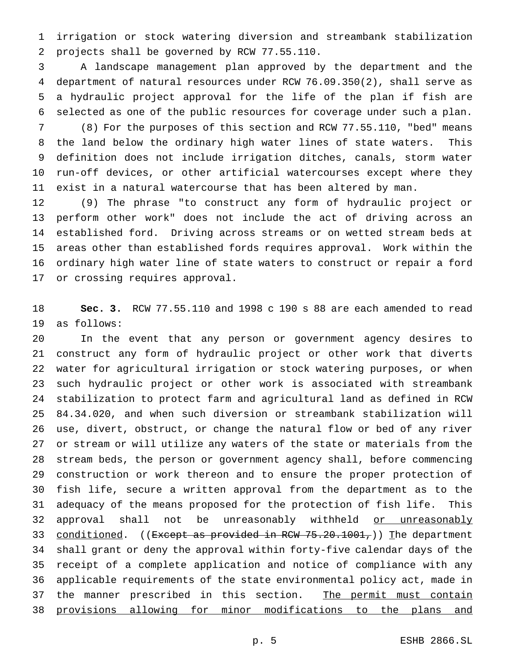irrigation or stock watering diversion and streambank stabilization projects shall be governed by RCW 77.55.110.

 A landscape management plan approved by the department and the department of natural resources under RCW 76.09.350(2), shall serve as a hydraulic project approval for the life of the plan if fish are selected as one of the public resources for coverage under such a plan.

 (8) For the purposes of this section and RCW 77.55.110, "bed" means the land below the ordinary high water lines of state waters. This definition does not include irrigation ditches, canals, storm water run-off devices, or other artificial watercourses except where they exist in a natural watercourse that has been altered by man.

 (9) The phrase "to construct any form of hydraulic project or perform other work" does not include the act of driving across an established ford. Driving across streams or on wetted stream beds at areas other than established fords requires approval. Work within the ordinary high water line of state waters to construct or repair a ford or crossing requires approval.

 **Sec. 3.** RCW 77.55.110 and 1998 c 190 s 88 are each amended to read as follows:

 In the event that any person or government agency desires to construct any form of hydraulic project or other work that diverts water for agricultural irrigation or stock watering purposes, or when such hydraulic project or other work is associated with streambank stabilization to protect farm and agricultural land as defined in RCW 84.34.020, and when such diversion or streambank stabilization will use, divert, obstruct, or change the natural flow or bed of any river or stream or will utilize any waters of the state or materials from the stream beds, the person or government agency shall, before commencing construction or work thereon and to ensure the proper protection of fish life, secure a written approval from the department as to the adequacy of the means proposed for the protection of fish life. This 32 approval shall not be unreasonably withheld or unreasonably 33 conditioned. ((Except as provided in RCW 75.20.1001,)) The department shall grant or deny the approval within forty-five calendar days of the receipt of a complete application and notice of compliance with any applicable requirements of the state environmental policy act, made in 37 the manner prescribed in this section. The permit must contain provisions allowing for minor modifications to the plans and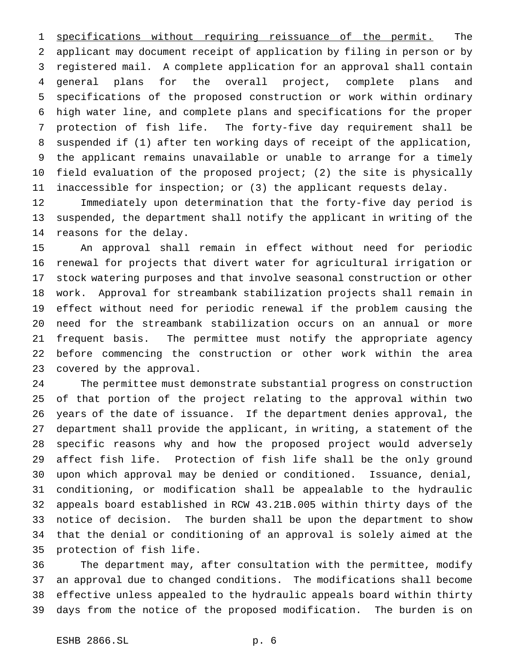1 specifications without requiring reissuance of the permit. The applicant may document receipt of application by filing in person or by registered mail. A complete application for an approval shall contain general plans for the overall project, complete plans and specifications of the proposed construction or work within ordinary high water line, and complete plans and specifications for the proper protection of fish life. The forty-five day requirement shall be suspended if (1) after ten working days of receipt of the application, the applicant remains unavailable or unable to arrange for a timely field evaluation of the proposed project; (2) the site is physically inaccessible for inspection; or (3) the applicant requests delay.

 Immediately upon determination that the forty-five day period is suspended, the department shall notify the applicant in writing of the reasons for the delay.

 An approval shall remain in effect without need for periodic renewal for projects that divert water for agricultural irrigation or stock watering purposes and that involve seasonal construction or other work. Approval for streambank stabilization projects shall remain in effect without need for periodic renewal if the problem causing the need for the streambank stabilization occurs on an annual or more frequent basis. The permittee must notify the appropriate agency before commencing the construction or other work within the area covered by the approval.

 The permittee must demonstrate substantial progress on construction of that portion of the project relating to the approval within two years of the date of issuance. If the department denies approval, the department shall provide the applicant, in writing, a statement of the specific reasons why and how the proposed project would adversely affect fish life. Protection of fish life shall be the only ground upon which approval may be denied or conditioned. Issuance, denial, conditioning, or modification shall be appealable to the hydraulic appeals board established in RCW 43.21B.005 within thirty days of the notice of decision. The burden shall be upon the department to show that the denial or conditioning of an approval is solely aimed at the protection of fish life.

 The department may, after consultation with the permittee, modify an approval due to changed conditions. The modifications shall become effective unless appealed to the hydraulic appeals board within thirty days from the notice of the proposed modification. The burden is on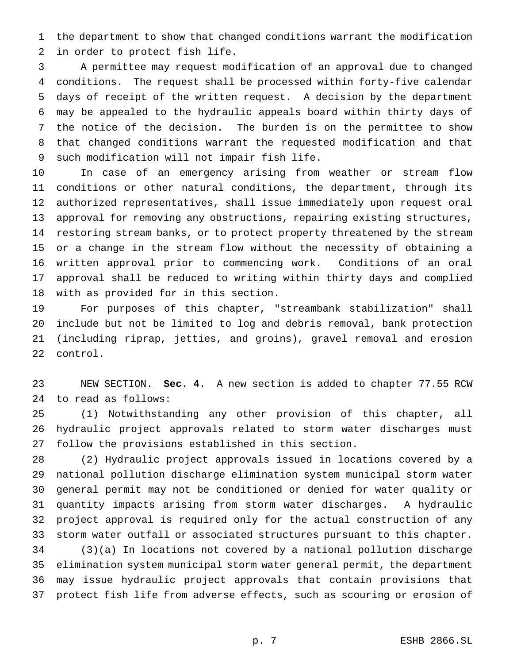the department to show that changed conditions warrant the modification in order to protect fish life.

 A permittee may request modification of an approval due to changed conditions. The request shall be processed within forty-five calendar days of receipt of the written request. A decision by the department may be appealed to the hydraulic appeals board within thirty days of the notice of the decision. The burden is on the permittee to show that changed conditions warrant the requested modification and that such modification will not impair fish life.

 In case of an emergency arising from weather or stream flow conditions or other natural conditions, the department, through its authorized representatives, shall issue immediately upon request oral approval for removing any obstructions, repairing existing structures, restoring stream banks, or to protect property threatened by the stream or a change in the stream flow without the necessity of obtaining a written approval prior to commencing work. Conditions of an oral approval shall be reduced to writing within thirty days and complied with as provided for in this section.

 For purposes of this chapter, "streambank stabilization" shall include but not be limited to log and debris removal, bank protection (including riprap, jetties, and groins), gravel removal and erosion control.

 NEW SECTION. **Sec. 4.** A new section is added to chapter 77.55 RCW to read as follows:

 (1) Notwithstanding any other provision of this chapter, all hydraulic project approvals related to storm water discharges must follow the provisions established in this section.

 (2) Hydraulic project approvals issued in locations covered by a national pollution discharge elimination system municipal storm water general permit may not be conditioned or denied for water quality or quantity impacts arising from storm water discharges. A hydraulic project approval is required only for the actual construction of any storm water outfall or associated structures pursuant to this chapter. (3)(a) In locations not covered by a national pollution discharge elimination system municipal storm water general permit, the department may issue hydraulic project approvals that contain provisions that protect fish life from adverse effects, such as scouring or erosion of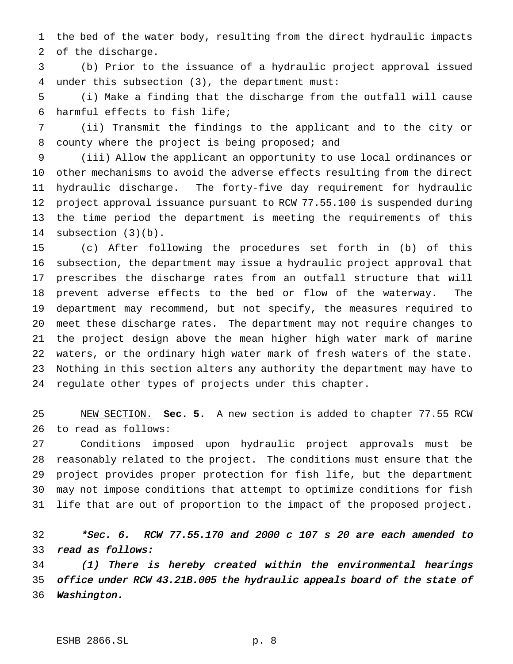the bed of the water body, resulting from the direct hydraulic impacts of the discharge.

 (b) Prior to the issuance of a hydraulic project approval issued under this subsection (3), the department must:

 (i) Make a finding that the discharge from the outfall will cause harmful effects to fish life;

 (ii) Transmit the findings to the applicant and to the city or county where the project is being proposed; and

 (iii) Allow the applicant an opportunity to use local ordinances or other mechanisms to avoid the adverse effects resulting from the direct hydraulic discharge. The forty-five day requirement for hydraulic project approval issuance pursuant to RCW 77.55.100 is suspended during the time period the department is meeting the requirements of this subsection (3)(b).

 (c) After following the procedures set forth in (b) of this subsection, the department may issue a hydraulic project approval that prescribes the discharge rates from an outfall structure that will prevent adverse effects to the bed or flow of the waterway. The department may recommend, but not specify, the measures required to meet these discharge rates. The department may not require changes to the project design above the mean higher high water mark of marine waters, or the ordinary high water mark of fresh waters of the state. Nothing in this section alters any authority the department may have to regulate other types of projects under this chapter.

 NEW SECTION. **Sec. 5.** A new section is added to chapter 77.55 RCW to read as follows:

 Conditions imposed upon hydraulic project approvals must be reasonably related to the project. The conditions must ensure that the project provides proper protection for fish life, but the department may not impose conditions that attempt to optimize conditions for fish life that are out of proportion to the impact of the proposed project.

 \*Sec. 6. RCW 77.55.170 and <sup>2000</sup> <sup>c</sup> <sup>107</sup> <sup>s</sup> <sup>20</sup> are each amended to read as follows:

 (1) There is hereby created within the environmental hearings office under RCW 43.21B.005 the hydraulic appeals board of the state of Washington.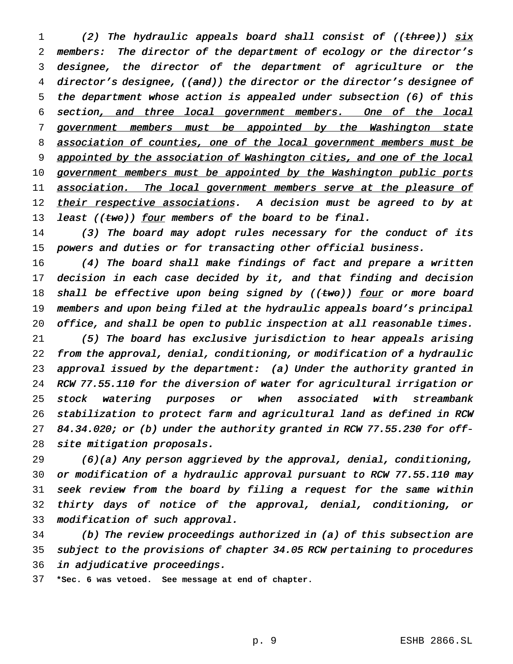1 (2) The hydraulic appeals board shall consist of ((three)) six members: The director of the department of ecology or the director's designee, the director of the department of agriculture or the 4 director's designee, ((and)) the director or the director's designee of the department whose action is appealed under subsection (6) of this 6 section, and three local government members. One of the local 7 government members must be appointed by the Washington state 8 association of counties, one of the local government members must be 9 appointed by the association of Washington cities, and one of the local 10 government members must be appointed by the Washington public ports 11 association. The local government members serve at the pleasure of 12 their respective associations. A decision must be agreed to by at 13 least (( $t$ wo)) four members of the board to be final.

14 (3) The board may adopt rules necessary for the conduct of its powers and duties or for transacting other official business.

 (4) The board shall make findings of fact and prepare <sup>a</sup> written 17 decision in each case decided by it, and that finding and decision 18 shall be effective upon being signed by ( $(two)$ ) four or more board members and upon being filed at the hydraulic appeals board's principal office, and shall be open to public inspection at all reasonable times.

 (5) The board has exclusive jurisdiction to hear appeals arising from the approval, denial, conditioning, or modification of <sup>a</sup> hydraulic approval issued by the department: (a) Under the authority granted in RCW 77.55.110 for the diversion of water for agricultural irrigation or stock watering purposes or when associated with streambank stabilization to protect farm and agricultural land as defined in RCW 84.34.020; or (b) under the authority granted in RCW 77.55.230 for off-site mitigation proposals.

 (6)(a) Any person aggrieved by the approval, denial, conditioning, or modification of <sup>a</sup> hydraulic approval pursuant to RCW 77.55.110 may seek review from the board by filing <sup>a</sup> request for the same within thirty days of notice of the approval, denial, conditioning, or modification of such approval.

 (b) The review proceedings authorized in (a) of this subsection are subject to the provisions of chapter 34.05 RCW pertaining to procedures in adjudicative proceedings.

**\*Sec. 6 was vetoed. See message at end of chapter.**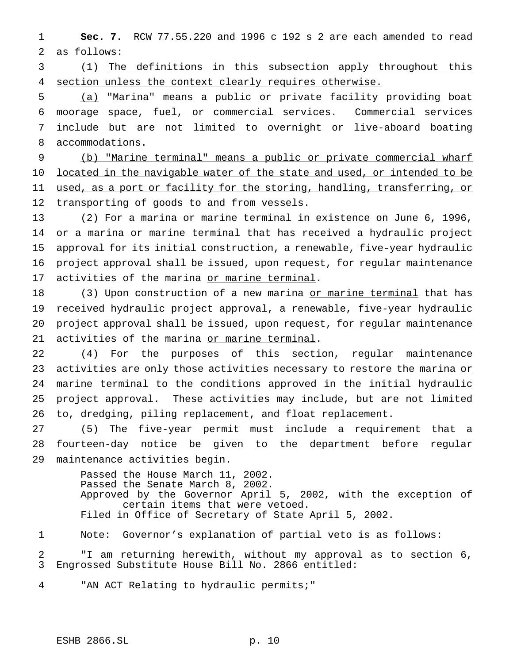1 **Sec. 7.** RCW 77.55.220 and 1996 c 192 s 2 are each amended to read 2 as follows:

3 (1) The definitions in this subsection apply throughout this 4 section unless the context clearly requires otherwise.

 (a) "Marina" means a public or private facility providing boat moorage space, fuel, or commercial services. Commercial services include but are not limited to overnight or live-aboard boating accommodations.

9 (b) "Marine terminal" means a public or private commercial wharf 10 located in the navigable water of the state and used, or intended to be 11 used, as a port or facility for the storing, handling, transferring, or 12 transporting of goods to and from vessels.

13 (2) For a marina or marine terminal in existence on June 6, 1996, 14 or a marina or marine terminal that has received a hydraulic project 15 approval for its initial construction, a renewable, five-year hydraulic 16 project approval shall be issued, upon request, for regular maintenance 17 activities of the marina or marine terminal.

18 (3) Upon construction of a new marina or marine terminal that has 19 received hydraulic project approval, a renewable, five-year hydraulic 20 project approval shall be issued, upon request, for regular maintenance 21 activities of the marina or marine terminal.

22 (4) For the purposes of this section, regular maintenance 23 activities are only those activities necessary to restore the marina or 24 marine terminal to the conditions approved in the initial hydraulic 25 project approval. These activities may include, but are not limited 26 to, dredging, piling replacement, and float replacement.

27 (5) The five-year permit must include a requirement that a 28 fourteen-day notice be given to the department before regular 29 maintenance activities begin.

> Passed the House March 11, 2002. Passed the Senate March 8, 2002. Approved by the Governor April 5, 2002, with the exception of certain items that were vetoed. Filed in Office of Secretary of State April 5, 2002.

1 Note: Governor's explanation of partial veto is as follows:

2 "I am returning herewith, without my approval as to section 6, 3 Engrossed Substitute House Bill No. 2866 entitled:

4 "AN ACT Relating to hydraulic permits;"